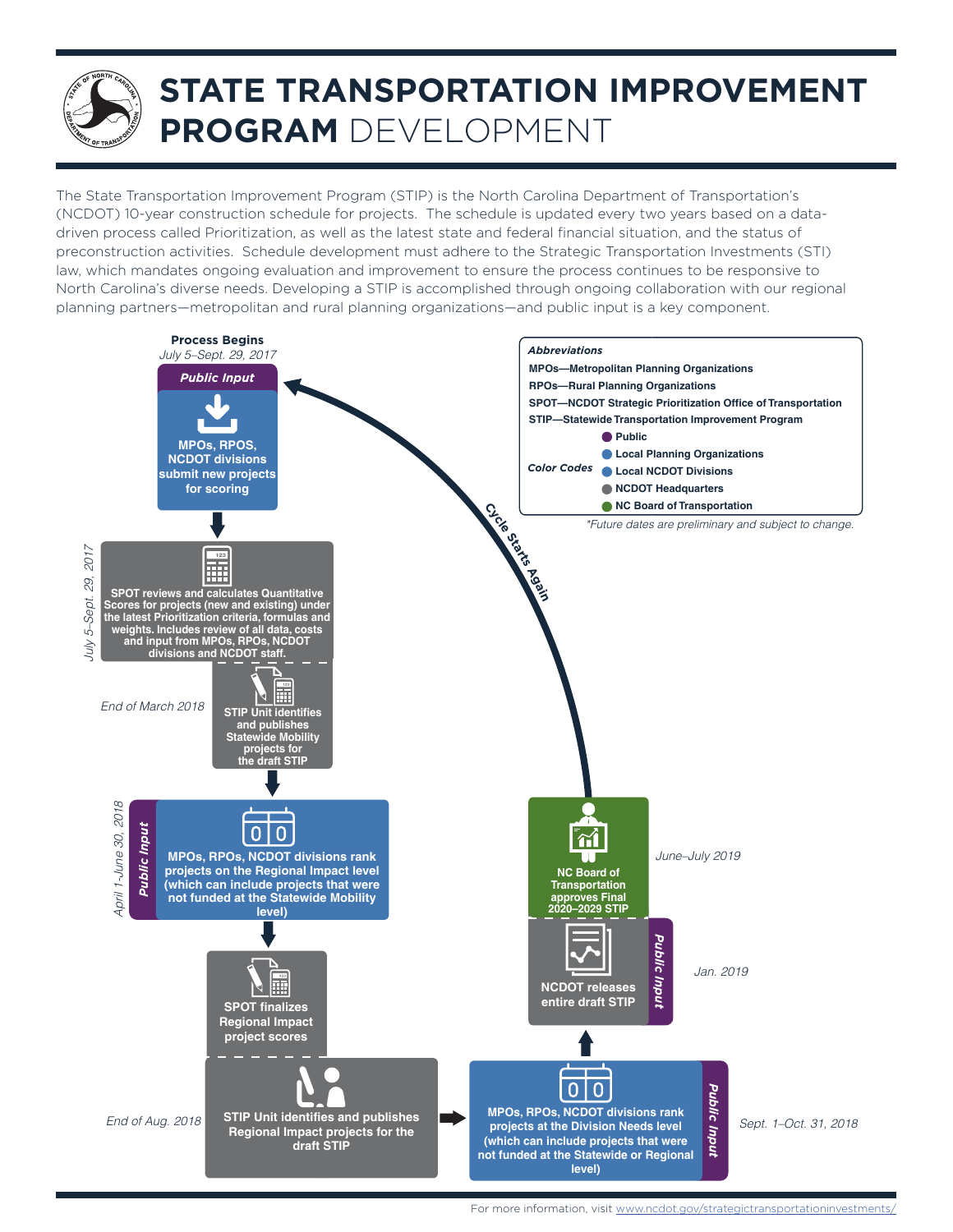# **STATE TRANSPORTATION IMPROVEMENT PROGRAM** DEVELOPMENT

The State Transportation Improvement Program (STIP) is the North Carolina Department of Transportation's (NCDOT) 10-year construction schedule for projects. The schedule is updated every two years based on a datadriven process called Prioritization, as well as the latest state and federal financial situation, and the status of preconstruction activities. Schedule development must adhere to the Strategic Transportation Investments (STI) law, which mandates ongoing evaluation and improvement to ensure the process continues to be responsive to North Carolina's diverse needs. Developing a STIP is accomplished through ongoing collaboration with our regional planning partners—metropolitan and rural planning organizations—and public input is a key component.



For more information, visit <www.ncdot.gov/strategictransportationinvestments/>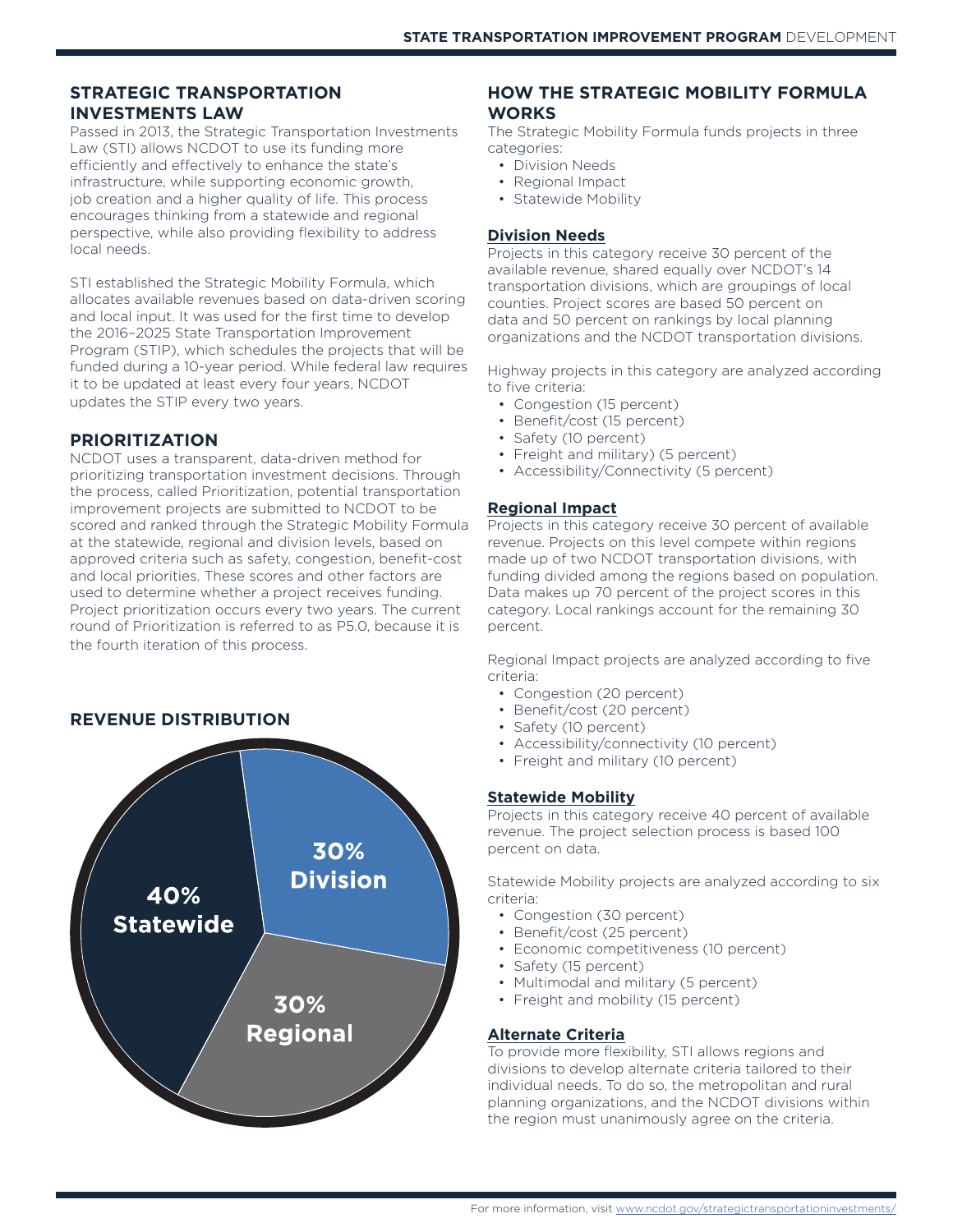#### **STRATEGIC TRANSPORTATION INVESTMENTS LAW**

Passed in 2013, the Strategic Transportation Investments Law (STI) allows NCDOT to use its funding more efficiently and effectively to enhance the state's infrastructure, while supporting economic growth, job creation and a higher quality of life. This process encourages thinking from a statewide and regional perspective, while also providing flexibility to address local needs.

STI established the Strategic Mobility Formula, which allocates available revenues based on data-driven scoring and local input. It was used for the first time to develop the 2016–2025 State Transportation Improvement Program (STIP), which schedules the projects that will be funded during a 10-year period. While federal law requires it to be updated at least every four years, NCDOT updates the STIP every two years.

#### **PRIORITIZATION**

NCDOT uses a transparent, data-driven method for prioritizing transportation investment decisions. Through the process, called Prioritization, potential transportation improvement projects are submitted to NCDOT to be scored and ranked through the Strategic Mobility Formula at the statewide, regional and division levels, based on approved criteria such as safety, congestion, benefit-cost and local priorities. These scores and other factors are used to determine whether a project receives funding. Project prioritization occurs every two years. The current round of Prioritization is referred to as P5.0, because it is the fourth iteration of this process.

#### **REVENUE DISTRIBUTION**



#### **HOW THE STRATEGIC MOBILITY FORMULA WORKS**

The Strategic Mobility Formula funds projects in three categories:

- Division Needs
- Regional Impact
- Statewide Mobility

#### **Division Needs**

Projects in this category receive 30 percent of the available revenue, shared equally over NCDOT's 14 transportation divisions, which are groupings of local counties. Project scores are based 50 percent on data and 50 percent on rankings by local planning organizations and the NCDOT transportation divisions.

Highway projects in this category are analyzed according to five criteria:

- Congestion (15 percent)
- Benefit/cost (15 percent)
- Safety (10 percent)
- Freight and military) (5 percent)
- Accessibility/Connectivity (5 percent)

#### **Regional Impact**

Projects in this category receive 30 percent of available revenue. Projects on this level compete within regions made up of two NCDOT transportation divisions, with funding divided among the regions based on population. Data makes up 70 percent of the project scores in this category. Local rankings account for the remaining 30 percent.

Regional Impact projects are analyzed according to five criteria:

- Congestion (20 percent)
- Benefit/cost (20 percent)
- Safety (10 percent)
- Accessibility/connectivity (10 percent)
- Freight and military (10 percent)

#### **Statewide Mobility**

Projects in this category receive 40 percent of available revenue. The project selection process is based 100 percent on data.

Statewide Mobility projects are analyzed according to six criteria:

- Congestion (30 percent)
- Benefit/cost (25 percent)
- Economic competitiveness (10 percent)
- Safety (15 percent)
- Multimodal and military (5 percent)
- Freight and mobility (15 percent)

#### **Alternate Criteria**

To provide more flexibility, STI allows regions and divisions to develop alternate criteria tailored to their individual needs. To do so, the metropolitan and rural planning organizations, and the NCDOT divisions within the region must unanimously agree on the criteria.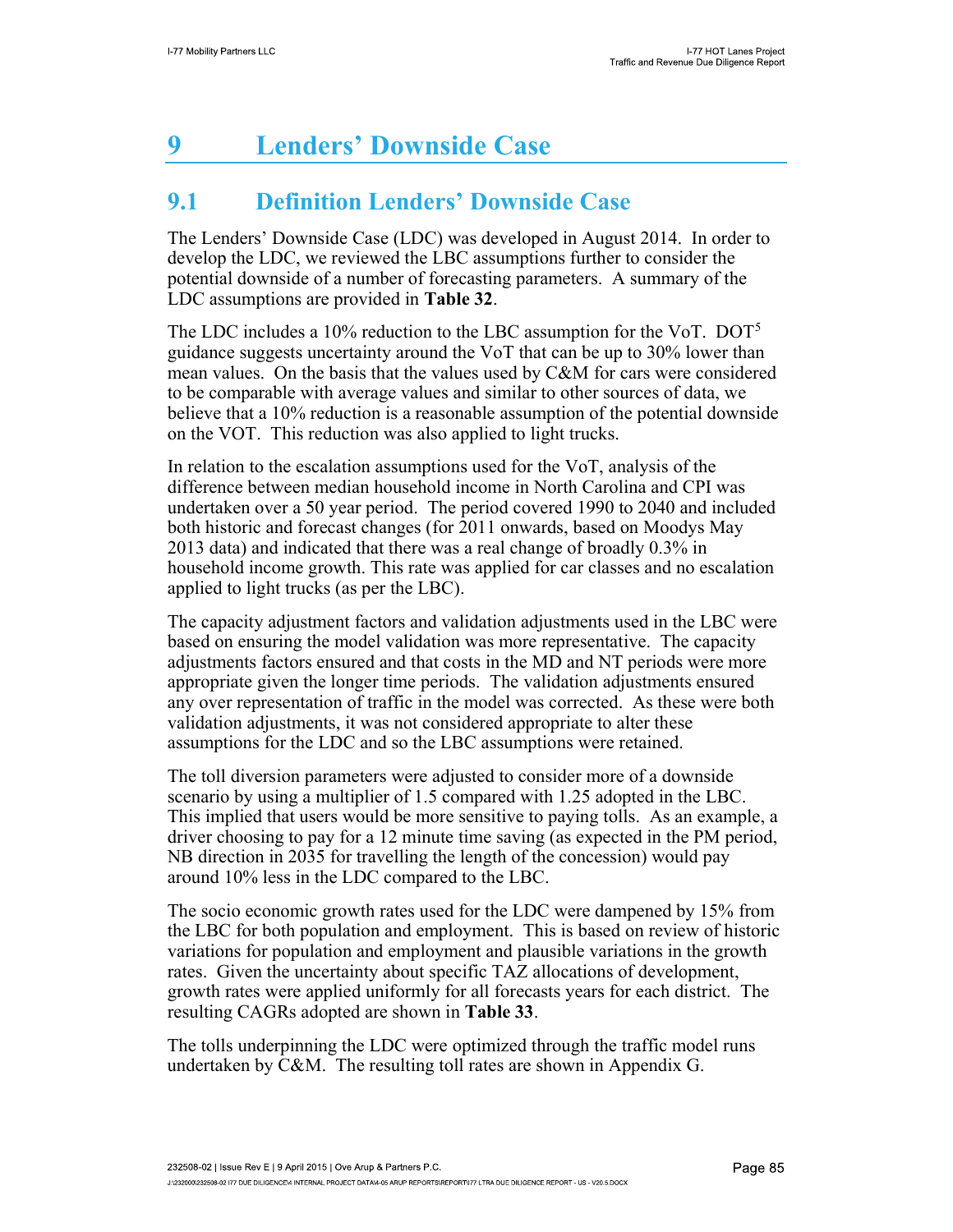# 9 Lenders' Downside Case

## 9.1 Definition Lenders' Downside Case

The Lenders' Downside Case (LDC) was developed in August 2014. In order to develop the LDC, we reviewed the LBC assumptions further to consider the potential downside of a number of forecasting parameters. A summary of the LDC assumptions are provided in Table 32.

The LDC includes a 10% reduction to the LBC assumption for the VoT. DOT<sup>5</sup> guidance suggests uncertainty around the VoT that can be up to 30% lower than mean values. On the basis that the values used by C&M for cars were considered to be comparable with average values and similar to other sources of data, we believe that a 10% reduction is a reasonable assumption of the potential downside on the VOT. This reduction was also applied to light trucks.

In relation to the escalation assumptions used for the VoT, analysis of the difference between median household income in North Carolina and CPI was undertaken over a 50 year period. The period covered 1990 to 2040 and included both historic and forecast changes (for 2011 onwards, based on Moodys May 2013 data) and indicated that there was a real change of broadly 0.3% in household income growth. This rate was applied for car classes and no escalation applied to light trucks (as per the LBC).

The capacity adjustment factors and validation adjustments used in the LBC were based on ensuring the model validation was more representative. The capacity adjustments factors ensured and that costs in the MD and NT periods were more appropriate given the longer time periods. The validation adjustments ensured any over representation of traffic in the model was corrected. As these were both validation adjustments, it was not considered appropriate to alter these assumptions for the LDC and so the LBC assumptions were retained.

The toll diversion parameters were adjusted to consider more of a downside scenario by using a multiplier of 1.5 compared with 1.25 adopted in the LBC. This implied that users would be more sensitive to paying tolls. As an example, a driver choosing to pay for a 12 minute time saving (as expected in the PM period, NB direction in 2035 for travelling the length of the concession) would pay around 10% less in the LDC compared to the LBC.

The socio economic growth rates used for the LDC were dampened by 15% from the LBC for both population and employment. This is based on review of historic variations for population and employment and plausible variations in the growth rates. Given the uncertainty about specific TAZ allocations of development, growth rates were applied uniformly for all forecasts years for each district. The resulting CAGRs adopted are shown in Table 33.

The tolls underpinning the LDC were optimized through the traffic model runs undertaken by C&M. The resulting toll rates are shown in Appendix G.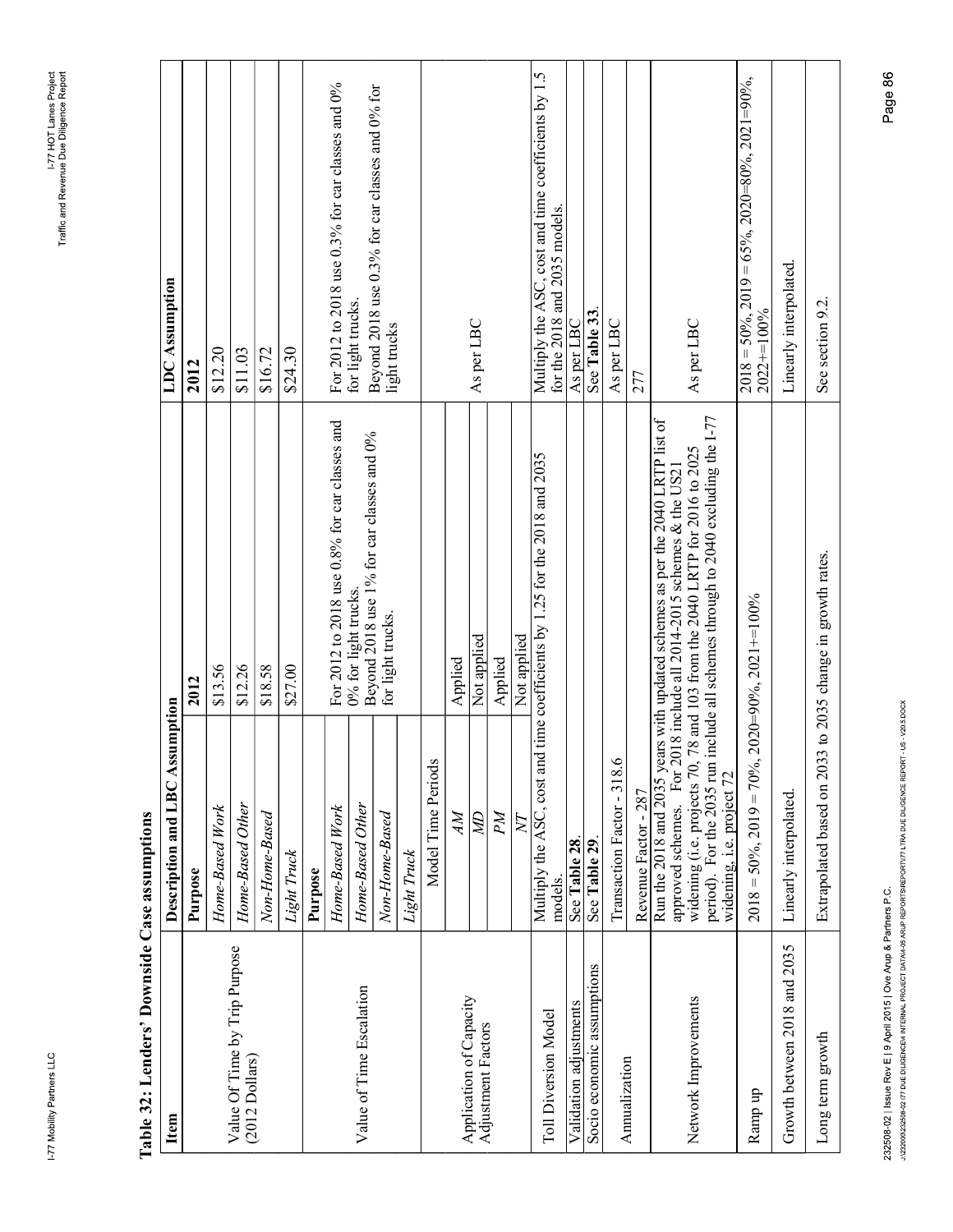|   | i      |
|---|--------|
| i | ï<br>I |
|   |        |

| ζ | $\frac{1}{2}$ |
|---|---------------|
|   | Ĩ.            |
|   |               |
|   |               |
|   | $\frac{1}{2}$ |
|   | 5             |
|   |               |
|   | ĺ             |
|   |               |
|   | Control       |
|   |               |
|   |               |
|   |               |
|   | j             |
|   | ì             |
|   |               |
|   | ible.         |
|   |               |
|   |               |

| For 2012 to 2018 use 0.8% for car classes and<br>0% for light trucks.<br>\$18.58<br>\$13.56<br>\$12.26<br>\$27.00<br>2012<br>Description and LBC Assumption                                                                                                                                                     | <b>LDC</b> Assumption<br>\$12.20<br>\$11.03<br>\$16.72<br>2012                                                                   |
|-----------------------------------------------------------------------------------------------------------------------------------------------------------------------------------------------------------------------------------------------------------------------------------------------------------------|----------------------------------------------------------------------------------------------------------------------------------|
|                                                                                                                                                                                                                                                                                                                 |                                                                                                                                  |
|                                                                                                                                                                                                                                                                                                                 |                                                                                                                                  |
|                                                                                                                                                                                                                                                                                                                 |                                                                                                                                  |
|                                                                                                                                                                                                                                                                                                                 |                                                                                                                                  |
|                                                                                                                                                                                                                                                                                                                 |                                                                                                                                  |
|                                                                                                                                                                                                                                                                                                                 | \$24.30                                                                                                                          |
|                                                                                                                                                                                                                                                                                                                 |                                                                                                                                  |
|                                                                                                                                                                                                                                                                                                                 | For 2012 to 2018 use 0.3% for car classes and 0%                                                                                 |
|                                                                                                                                                                                                                                                                                                                 | for light trucks.                                                                                                                |
| Beyond 2018 use 1% for car classes and 0%                                                                                                                                                                                                                                                                       | Beyond 2018 use 0.3% for car classes and 0% for                                                                                  |
| for light trucks.                                                                                                                                                                                                                                                                                               | light trucks                                                                                                                     |
|                                                                                                                                                                                                                                                                                                                 |                                                                                                                                  |
|                                                                                                                                                                                                                                                                                                                 |                                                                                                                                  |
| Applied                                                                                                                                                                                                                                                                                                         |                                                                                                                                  |
| Not applied                                                                                                                                                                                                                                                                                                     | As per LBC                                                                                                                       |
| Applied                                                                                                                                                                                                                                                                                                         |                                                                                                                                  |
| Not applied                                                                                                                                                                                                                                                                                                     |                                                                                                                                  |
|                                                                                                                                                                                                                                                                                                                 | Multiply the ASC, cost and time coefficients by 1.5<br>for the 2018 and 2035 models.                                             |
|                                                                                                                                                                                                                                                                                                                 | As per LBC                                                                                                                       |
|                                                                                                                                                                                                                                                                                                                 | See Table 33                                                                                                                     |
|                                                                                                                                                                                                                                                                                                                 | As per LBC                                                                                                                       |
|                                                                                                                                                                                                                                                                                                                 | 277                                                                                                                              |
|                                                                                                                                                                                                                                                                                                                 |                                                                                                                                  |
| widening (i.e. projects 70, 78 and 103 from the 2040 LRTP for 2016 to 2025 period). For the 2035 run include all schemes through to $2040$ excluding the I-77<br>approved schemes. For 2018 include all 2014-2015 schemes & the US21 widening (i.e. projects 70, 78 and 103 from the 2040 LRTP for 2016 to 2025 | As per LBC                                                                                                                       |
| $2018 = 50\%$ , $2019 = 70\%$ , $2020 = 90\%$ , $2021 == 100\%$                                                                                                                                                                                                                                                 | $2018 = 50\%$ , $2019 = 65\%$ , $2020 = 80\%$ , $2021 = 90\%$ ,<br>$2022 + 100%$                                                 |
|                                                                                                                                                                                                                                                                                                                 | Linearly interpolated.                                                                                                           |
| to 2035 change in growth rates.<br>Extrapolated based on 2033                                                                                                                                                                                                                                                   | See section 9.2.                                                                                                                 |
|                                                                                                                                                                                                                                                                                                                 |                                                                                                                                  |
|                                                                                                                                                                                                                                                                                                                 | Page 86                                                                                                                          |
| Multiply the ASC, cost and                                                                                                                                                                                                                                                                                      | Run the 2018 and 2035 years with updated schemes as per the 2040 LRTP list of<br>time coefficients by 1.25 for the 2018 and 2035 |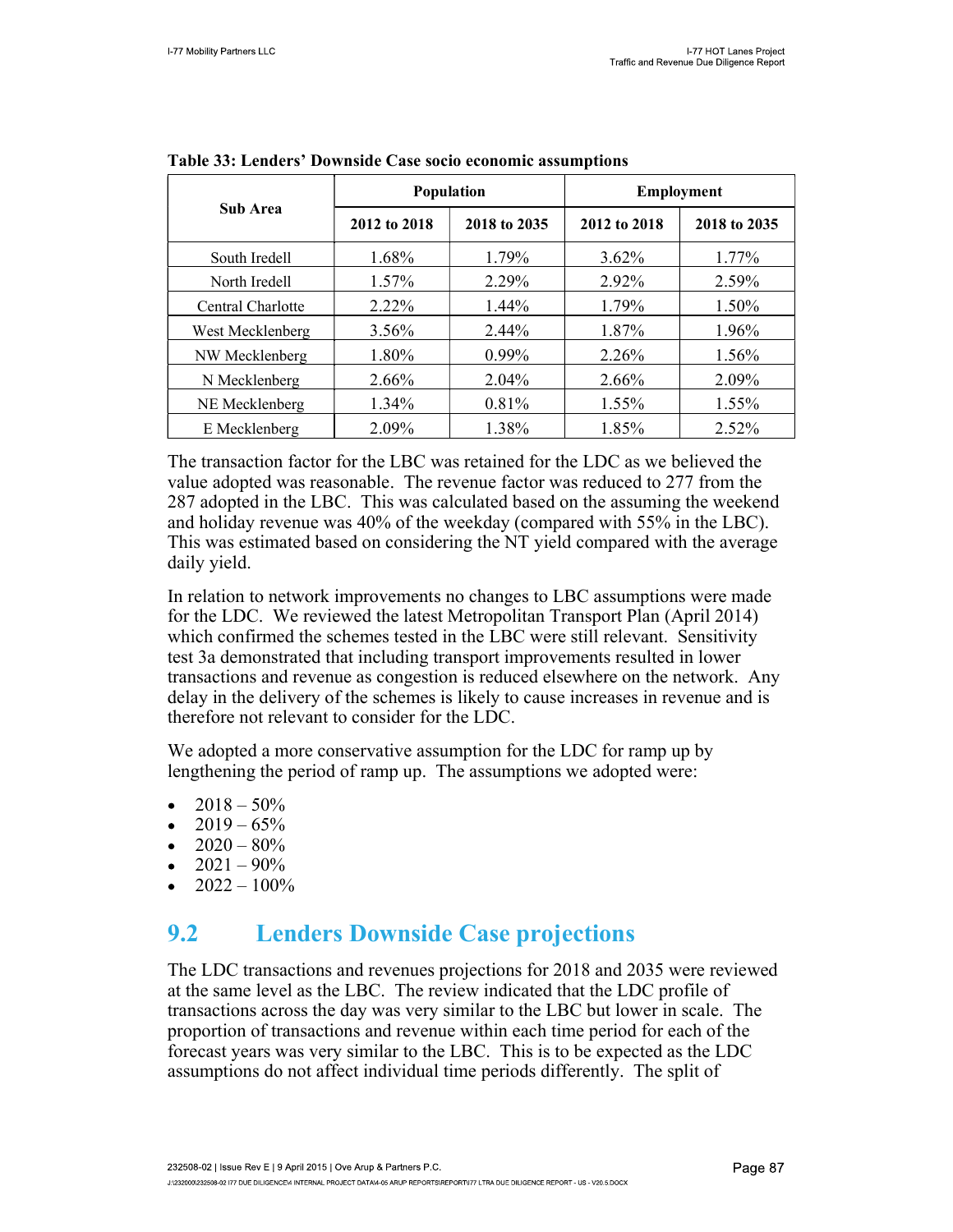|                   |                              | Population | <b>Employment</b> |              |  |
|-------------------|------------------------------|------------|-------------------|--------------|--|
| <b>Sub Area</b>   | 2018 to 2035<br>2012 to 2018 |            | 2012 to 2018      | 2018 to 2035 |  |
| South Iredell     | 1.68%                        | 1.79%      | $3.62\%$          | $1.77\%$     |  |
| North Iredell     | 1.57%                        | 2.29%      | 2.92%             | 2.59%        |  |
| Central Charlotte | 2.22%                        | $1.44\%$   | 1.79%             | 1.50%        |  |
| West Mecklenberg  | $3.56\%$                     | 2.44%      | 1.87%             | 1.96%        |  |
| NW Mecklenberg    | 1.80%                        | $0.99\%$   | 2.26%             | $1.56\%$     |  |
| N Mecklenberg     | 2.66%                        | 2.04%      | 2.66%             | 2.09%        |  |
| NE Mecklenberg    | $1.34\%$                     | 0.81%      | 1.55%             | 1.55%        |  |
| E Mecklenberg     | 2.09%                        | 1.38%      | 1.85%             | 2.52%        |  |

|  |  |  | Table 33: Lenders' Downside Case socio economic assumptions |
|--|--|--|-------------------------------------------------------------|
|--|--|--|-------------------------------------------------------------|

The transaction factor for the LBC was retained for the LDC as we believed the value adopted was reasonable. The revenue factor was reduced to 277 from the 287 adopted in the LBC. This was calculated based on the assuming the weekend and holiday revenue was 40% of the weekday (compared with 55% in the LBC). This was estimated based on considering the NT yield compared with the average daily yield.

In relation to network improvements no changes to LBC assumptions were made for the LDC. We reviewed the latest Metropolitan Transport Plan (April 2014) which confirmed the schemes tested in the LBC were still relevant. Sensitivity test 3a demonstrated that including transport improvements resulted in lower transactions and revenue as congestion is reduced elsewhere on the network. Any delay in the delivery of the schemes is likely to cause increases in revenue and is therefore not relevant to consider for the LDC.

We adopted a more conservative assumption for the LDC for ramp up by lengthening the period of ramp up. The assumptions we adopted were:

- $2018 50\%$
- $2019 65\%$
- $\bullet$  2020 80%
- $2021 90\%$
- $2022 100\%$

### 9.2 Lenders Downside Case projections

The LDC transactions and revenues projections for 2018 and 2035 were reviewed at the same level as the LBC. The review indicated that the LDC profile of transactions across the day was very similar to the LBC but lower in scale. The proportion of transactions and revenue within each time period for each of the forecast years was very similar to the LBC. This is to be expected as the LDC assumptions do not affect individual time periods differently. The split of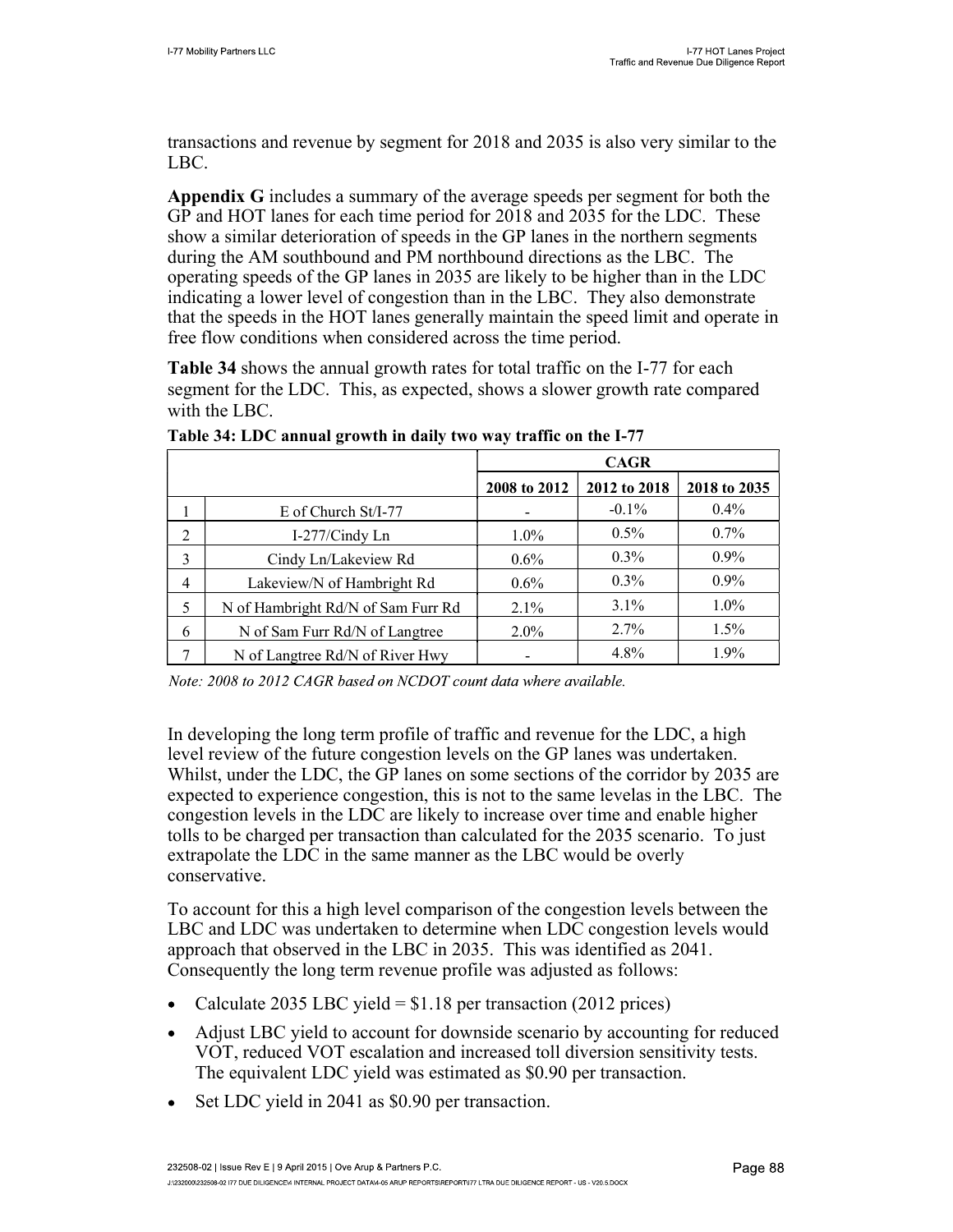transactions and revenue by segment for 2018 and 2035 is also very similar to the LBC.

Appendix G includes a summary of the average speeds per segment for both the GP and HOT lanes for each time period for 2018 and 2035 for the LDC. These show a similar deterioration of speeds in the GP lanes in the northern segments during the AM southbound and PM northbound directions as the LBC. The operating speeds of the GP lanes in 2035 are likely to be higher than in the LDC indicating a lower level of congestion than in the LBC. They also demonstrate that the speeds in the HOT lanes generally maintain the speed limit and operate in free flow conditions when considered across the time period.

Table 34 shows the annual growth rates for total traffic on the I-77 for each segment for the LDC. This, as expected, shows a slower growth rate compared with the LBC.

|                |                                    | <b>CAGR</b>  |              |              |  |
|----------------|------------------------------------|--------------|--------------|--------------|--|
|                |                                    | 2008 to 2012 | 2012 to 2018 | 2018 to 2035 |  |
|                | $E$ of Church St/I-77              |              | $-0.1\%$     | 0.4%         |  |
| 2              | I-277/Cindy Ln                     | $1.0\%$      | $0.5\%$      | $0.7\%$      |  |
| 3              | Cindy Ln/Lakeview Rd               | $0.6\%$      | $0.3\%$      | $0.9\%$      |  |
| $\overline{4}$ | Lakeview/N of Hambright Rd         | $0.6\%$      | $0.3\%$      | $0.9\%$      |  |
| 5              | N of Hambright Rd/N of Sam Furr Rd | 2.1%         | $3.1\%$      | $1.0\%$      |  |
| 6              | N of Sam Furr Rd/N of Langtree     | $2.0\%$      | $2.7\%$      | 1.5%         |  |
| 7              | N of Langtree Rd/N of River Hwy    |              | 4.8%         | 1.9%         |  |

Table 34: LDC annual growth in daily two way traffic on the I-77

Note: 2008 to 2012 CAGR based on NCDOT count data where available.

In developing the long term profile of traffic and revenue for the LDC, a high level review of the future congestion levels on the GP lanes was undertaken. Whilst, under the LDC, the GP lanes on some sections of the corridor by 2035 are expected to experience congestion, this is not to the same levelas in the LBC. The congestion levels in the LDC are likely to increase over time and enable higher tolls to be charged per transaction than calculated for the 2035 scenario. To just extrapolate the LDC in the same manner as the LBC would be overly conservative.

To account for this a high level comparison of the congestion levels between the LBC and LDC was undertaken to determine when LDC congestion levels would approach that observed in the LBC in 2035. This was identified as 2041. Consequently the long term revenue profile was adjusted as follows:

- Calculate 2035 LBC yield =  $$1.18$  per transaction (2012 prices)
- Adjust LBC yield to account for downside scenario by accounting for reduced VOT, reduced VOT escalation and increased toll diversion sensitivity tests. The equivalent LDC yield was estimated as \$0.90 per transaction.
- Set LDC yield in 2041 as \$0.90 per transaction.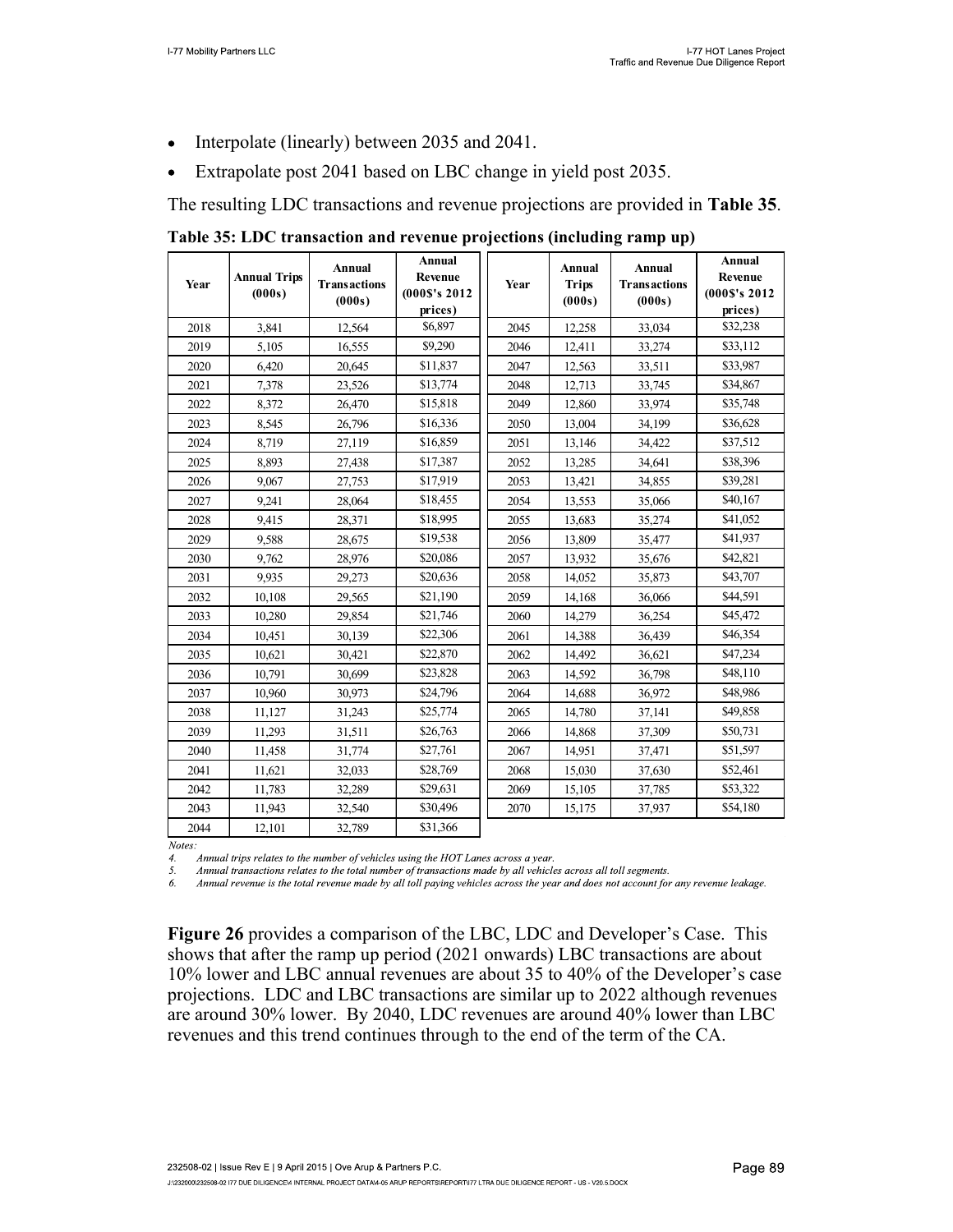- Interpolate (linearly) between 2035 and 2041.  $\bullet$
- Extrapolate post 2041 based on LBC change in yield post 2035.  $\bullet$

The resulting LDC transactions and revenue projections are provided in Table 35.

Table 35: LDC transaction and revenue projections (including ramp up)

| Year | <b>Annual Trips</b><br>(000s) | <b>Annual</b><br><b>Transactions</b><br>(000s) | Annual<br><b>Revenue</b><br>(000S's 2012)<br>prices) | Year | <b>Annual</b><br><b>Trips</b><br>(000s) | <b>Annual</b><br><b>Transactions</b><br>(000s) | Annual<br>Revenue<br>(000\$'s 2012)<br>prices) |
|------|-------------------------------|------------------------------------------------|------------------------------------------------------|------|-----------------------------------------|------------------------------------------------|------------------------------------------------|
| 2018 | 3,841                         | 12,564                                         | \$6,897                                              | 2045 | 12,258                                  | 33,034                                         | \$32,238                                       |
| 2019 | 5,105                         | 16,555                                         | \$9,290                                              | 2046 | 12,411                                  | 33,274                                         | \$33,112                                       |
| 2020 | 6,420                         | 20,645                                         | \$11,837                                             | 2047 | 12,563                                  | 33,511                                         | \$33,987                                       |
| 2021 | 7,378                         | 23,526                                         | \$13,774                                             | 2048 | 12,713                                  | 33,745                                         | \$34,867                                       |
| 2022 | 8,372                         | 26,470                                         | \$15,818                                             | 2049 | 12,860                                  | 33,974                                         | \$35,748                                       |
| 2023 | 8,545                         | 26,796                                         | \$16,336                                             | 2050 | 13,004                                  | 34.199                                         | \$36,628                                       |
| 2024 | 8,719                         | 27,119                                         | \$16,859                                             | 2051 | 13,146                                  | 34,422                                         | \$37,512                                       |
| 2025 | 8,893                         | 27,438                                         | \$17,387                                             | 2052 | 13,285                                  | 34,641                                         | \$38,396                                       |
| 2026 | 9.067                         | 27,753                                         | \$17,919                                             | 2053 | 13,421                                  | 34,855                                         | \$39,281                                       |
| 2027 | 9,241                         | 28,064                                         | \$18,455                                             | 2054 | 13,553                                  | 35,066                                         | \$40,167                                       |
| 2028 | 9,415                         | 28,371                                         | \$18,995                                             | 2055 | 13,683                                  | 35,274                                         | \$41,052                                       |
| 2029 | 9,588                         | 28,675                                         | \$19,538                                             | 2056 | 13,809                                  | 35,477                                         | \$41,937                                       |
| 2030 | 9,762                         | 28,976                                         | \$20,086                                             | 2057 | 13,932                                  | 35,676                                         | \$42,821                                       |
| 2031 | 9,935                         | 29,273                                         | \$20,636                                             | 2058 | 14,052                                  | 35,873                                         | \$43,707                                       |
| 2032 | 10,108                        | 29,565                                         | \$21,190                                             | 2059 | 14,168                                  | 36,066                                         | \$44,591                                       |
| 2033 | 10,280                        | 29,854                                         | \$21,746                                             | 2060 | 14,279                                  | 36,254                                         | \$45,472                                       |
| 2034 | 10,451                        | 30,139                                         | \$22,306                                             | 2061 | 14,388                                  | 36,439                                         | \$46,354                                       |
| 2035 | 10,621                        | 30,421                                         | \$22,870                                             | 2062 | 14,492                                  | 36,621                                         | \$47,234                                       |
| 2036 | 10,791                        | 30,699                                         | \$23,828                                             | 2063 | 14,592                                  | 36,798                                         | \$48,110                                       |
| 2037 | 10,960                        | 30,973                                         | \$24,796                                             | 2064 | 14,688                                  | 36,972                                         | \$48,986                                       |
| 2038 | 11,127                        | 31,243                                         | \$25,774                                             | 2065 | 14,780                                  | 37,141                                         | \$49,858                                       |
| 2039 | 11,293                        | 31,511                                         | \$26,763                                             | 2066 | 14,868                                  | 37,309                                         | \$50,731                                       |
| 2040 | 11,458                        | 31,774                                         | \$27,761                                             | 2067 | 14,951                                  | 37,471                                         | \$51,597                                       |
| 2041 | 11,621                        | 32,033                                         | \$28,769                                             | 2068 | 15,030                                  | 37,630                                         | \$52,461                                       |
| 2042 | 11,783                        | 32,289                                         | \$29,631                                             | 2069 | 15,105                                  | 37,785                                         | \$53,322                                       |
| 2043 | 11,943                        | 32,540                                         | \$30,496                                             | 2070 | 15,175                                  | 37,937                                         | \$54,180                                       |
| 2044 | 12.101                        | 32,789                                         | \$31,366                                             |      |                                         |                                                |                                                |

Notes:

Annual trips relates to the number of vehicles using the HOT Lanes across a year.  $\overline{4}$ .

5. Annual transactions relates to the total number of transactions made by all vehicles across all toll segments.

Annual revenue is the total revenue made by all toll paying vehicles across the year and does not account for any revenue leakage. 6.

Figure 26 provides a comparison of the LBC, LDC and Developer's Case. This shows that after the ramp up period (2021 onwards) LBC transactions are about 10% lower and LBC annual revenues are about 35 to 40% of the Developer's case projections. LDC and LBC transactions are similar up to 2022 although revenues are around 30% lower. By 2040, LDC revenues are around 40% lower than LBC revenues and this trend continues through to the end of the term of the CA.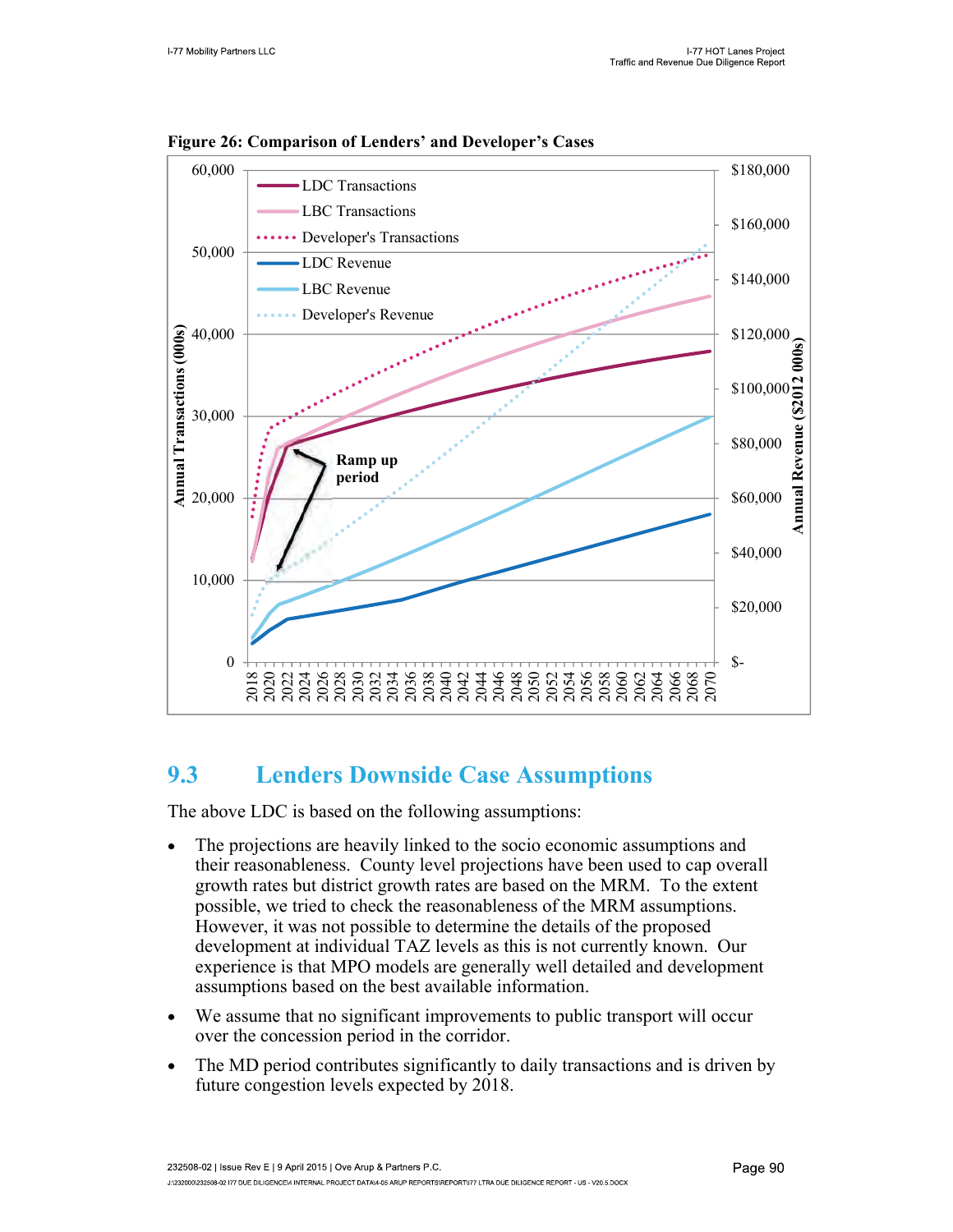

Figure 26: Comparison of Lenders' and Developer's Cases

### 9.3 Lenders Downside Case Assumptions

The above LDC is based on the following assumptions:

- The projections are heavily linked to the socio economic assumptions and  $\bullet$ their reasonableness. County level projections have been used to cap overall growth rates but district growth rates are based on the MRM. To the extent possible, we tried to check the reasonableness of the MRM assumptions. However, it was not possible to determine the details of the proposed development at individual TAZ levels as this is not currently known. Our experience is that MPO models are generally well detailed and development assumptions based on the best available information.
- We assume that no significant improvements to public transport will occur  $\bullet$ over the concession period in the corridor.
- The MD period contributes significantly to daily transactions and is driven by future congestion levels expected by 2018.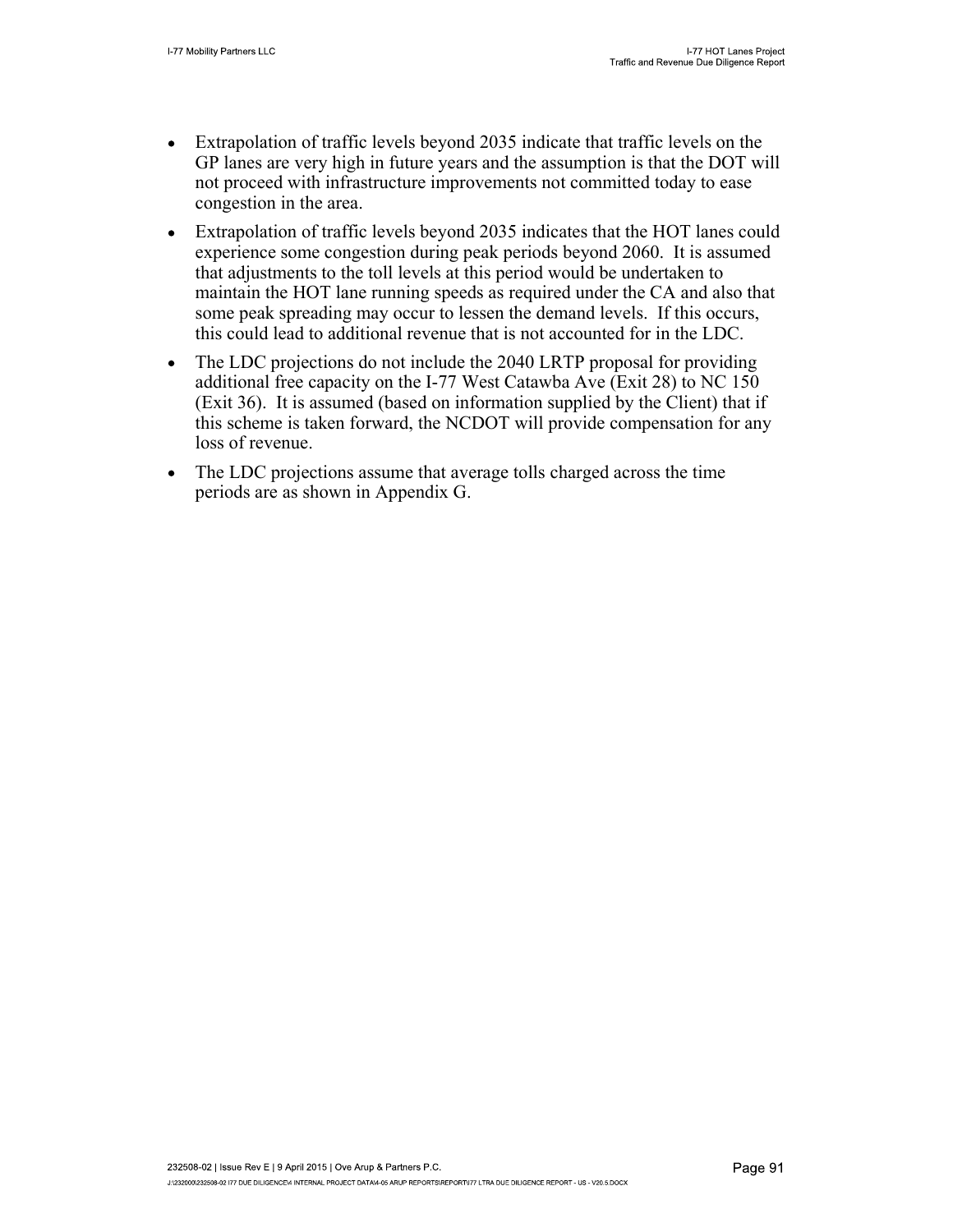- Extrapolation of traffic levels beyond 2035 indicate that traffic levels on the  $\bullet$ GP lanes are very high in future years and the assumption is that the DOT will not proceed with infrastructure improvements not committed today to ease congestion in the area.
- Extrapolation of traffic levels beyond 2035 indicates that the HOT lanes could  $\bullet$ experience some congestion during peak periods beyond 2060. It is assumed that adjustments to the toll levels at this period would be undertaken to maintain the HOT lane running speeds as required under the CA and also that some peak spreading may occur to lessen the demand levels. If this occurs, this could lead to additional revenue that is not accounted for in the LDC.
- The LDC projections do not include the 2040 LRTP proposal for providing  $\bullet$ additional free capacity on the I-77 West Catawba Ave (Exit 28) to NC 150 (Exit 36). It is assumed (based on information supplied by the Client) that if this scheme is taken forward, the NCDOT will provide compensation for any loss of revenue.
- The LDC projections assume that average tolls charged across the time  $\bullet$ periods are as shown in Appendix G.